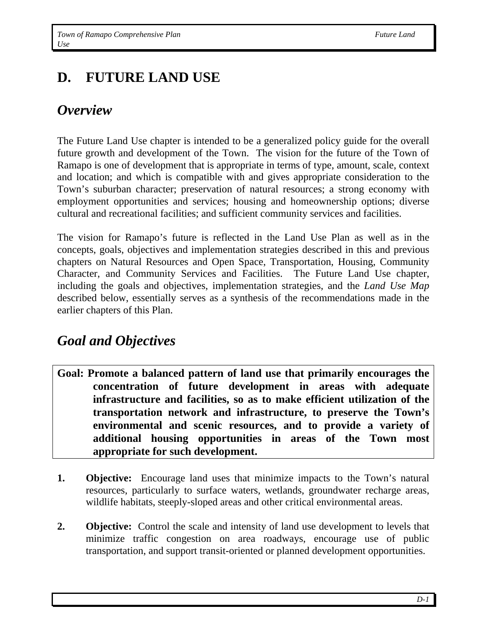# **D. FUTURE LAND USE**

## *Overview*

The Future Land Use chapter is intended to be a generalized policy guide for the overall future growth and development of the Town. The vision for the future of the Town of Ramapo is one of development that is appropriate in terms of type, amount, scale, context and location; and which is compatible with and gives appropriate consideration to the Town's suburban character; preservation of natural resources; a strong economy with employment opportunities and services; housing and homeownership options; diverse cultural and recreational facilities; and sufficient community services and facilities.

The vision for Ramapo's future is reflected in the Land Use Plan as well as in the concepts, goals, objectives and implementation strategies described in this and previous chapters on Natural Resources and Open Space, Transportation, Housing, Community Character, and Community Services and Facilities. The Future Land Use chapter, including the goals and objectives, implementation strategies, and the *Land Use Map* described below, essentially serves as a synthesis of the recommendations made in the earlier chapters of this Plan.

## *Goal and Objectives*

- **Goal: Promote a balanced pattern of land use that primarily encourages the concentration of future development in areas with adequate infrastructure and facilities, so as to make efficient utilization of the transportation network and infrastructure, to preserve the Town's environmental and scenic resources, and to provide a variety of additional housing opportunities in areas of the Town most appropriate for such development.**
- **1. Objective:** Encourage land uses that minimize impacts to the Town's natural resources, particularly to surface waters, wetlands, groundwater recharge areas, wildlife habitats, steeply-sloped areas and other critical environmental areas.
- **2. Objective:** Control the scale and intensity of land use development to levels that minimize traffic congestion on area roadways, encourage use of public transportation, and support transit-oriented or planned development opportunities.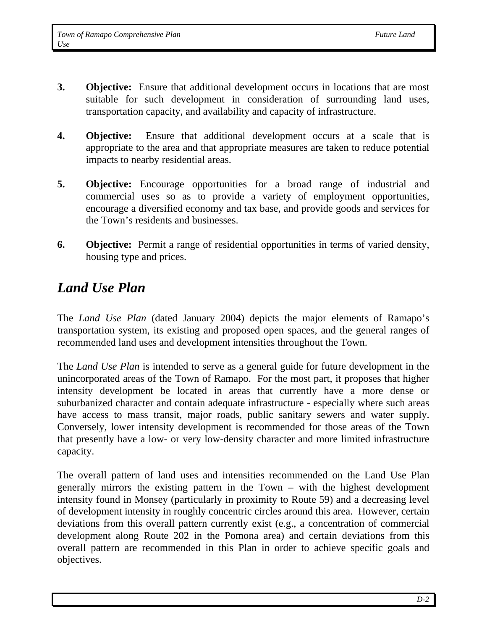- **3.** Objective: Ensure that additional development occurs in locations that are most suitable for such development in consideration of surrounding land uses, transportation capacity, and availability and capacity of infrastructure.
- **4. Objective:** Ensure that additional development occurs at a scale that is appropriate to the area and that appropriate measures are taken to reduce potential impacts to nearby residential areas.
- **5. Objective:** Encourage opportunities for a broad range of industrial and commercial uses so as to provide a variety of employment opportunities, encourage a diversified economy and tax base, and provide goods and services for the Town's residents and businesses.
- **6.** Objective: Permit a range of residential opportunities in terms of varied density, housing type and prices.

## *Land Use Plan*

The *Land Use Plan* (dated January 2004) depicts the major elements of Ramapo's transportation system, its existing and proposed open spaces, and the general ranges of recommended land uses and development intensities throughout the Town.

The *Land Use Plan* is intended to serve as a general guide for future development in the unincorporated areas of the Town of Ramapo. For the most part, it proposes that higher intensity development be located in areas that currently have a more dense or suburbanized character and contain adequate infrastructure - especially where such areas have access to mass transit, major roads, public sanitary sewers and water supply. Conversely, lower intensity development is recommended for those areas of the Town that presently have a low- or very low-density character and more limited infrastructure capacity.

The overall pattern of land uses and intensities recommended on the Land Use Plan generally mirrors the existing pattern in the Town – with the highest development intensity found in Monsey (particularly in proximity to Route 59) and a decreasing level of development intensity in roughly concentric circles around this area. However, certain deviations from this overall pattern currently exist (e.g., a concentration of commercial development along Route 202 in the Pomona area) and certain deviations from this overall pattern are recommended in this Plan in order to achieve specific goals and objectives.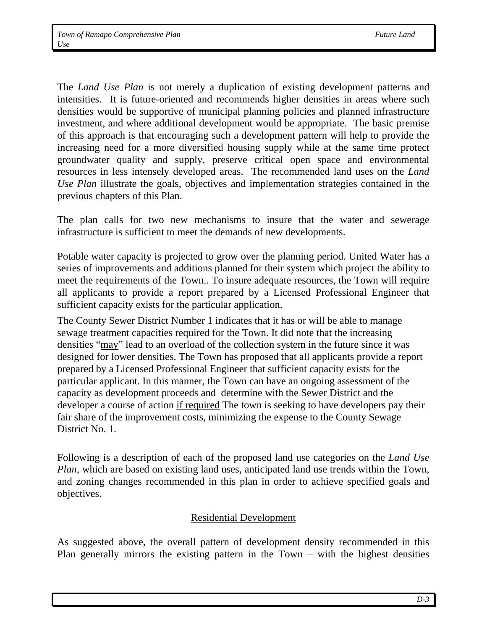The *Land Use Plan* is not merely a duplication of existing development patterns and intensities. It is future-oriented and recommends higher densities in areas where such densities would be supportive of municipal planning policies and planned infrastructure investment, and where additional development would be appropriate. The basic premise of this approach is that encouraging such a development pattern will help to provide the increasing need for a more diversified housing supply while at the same time protect groundwater quality and supply, preserve critical open space and environmental resources in less intensely developed areas. The recommended land uses on the *Land Use Plan* illustrate the goals, objectives and implementation strategies contained in the previous chapters of this Plan.

The plan calls for two new mechanisms to insure that the water and sewerage infrastructure is sufficient to meet the demands of new developments.

Potable water capacity is projected to grow over the planning period. United Water has a series of improvements and additions planned for their system which project the ability to meet the requirements of the Town.. To insure adequate resources, the Town will require all applicants to provide a report prepared by a Licensed Professional Engineer that sufficient capacity exists for the particular application.

The County Sewer District Number 1 indicates that it has or will be able to manage sewage treatment capacities required for the Town. It did note that the increasing densities "may" lead to an overload of the collection system in the future since it was designed for lower densities. The Town has proposed that all applicants provide a report prepared by a Licensed Professional Engineer that sufficient capacity exists for the particular applicant. In this manner, the Town can have an ongoing assessment of the capacity as development proceeds and determine with the Sewer District and the developer a course of action if required The town is seeking to have developers pay their fair share of the improvement costs, minimizing the expense to the County Sewage District No. 1.

Following is a description of each of the proposed land use categories on the *Land Use Plan*, which are based on existing land uses, anticipated land use trends within the Town, and zoning changes recommended in this plan in order to achieve specified goals and objectives.

#### Residential Development

As suggested above, the overall pattern of development density recommended in this Plan generally mirrors the existing pattern in the Town – with the highest densities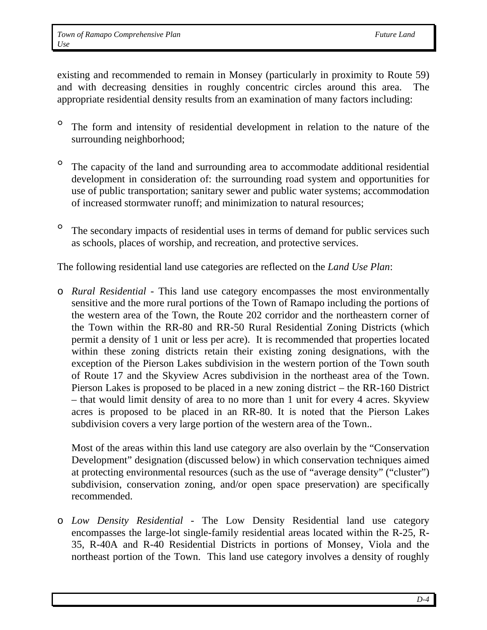existing and recommended to remain in Monsey (particularly in proximity to Route 59) and with decreasing densities in roughly concentric circles around this area. The appropriate residential density results from an examination of many factors including:

- ° The form and intensity of residential development in relation to the nature of the surrounding neighborhood;
- ° The capacity of the land and surrounding area to accommodate additional residential development in consideration of: the surrounding road system and opportunities for use of public transportation; sanitary sewer and public water systems; accommodation of increased stormwater runoff; and minimization to natural resources;
- <sup>o</sup> The secondary impacts of residential uses in terms of demand for public services such as schools, places of worship, and recreation, and protective services.

The following residential land use categories are reflected on the *Land Use Plan*:

o *Rural Residential* - This land use category encompasses the most environmentally sensitive and the more rural portions of the Town of Ramapo including the portions of the western area of the Town, the Route 202 corridor and the northeastern corner of the Town within the RR-80 and RR-50 Rural Residential Zoning Districts (which permit a density of 1 unit or less per acre). It is recommended that properties located within these zoning districts retain their existing zoning designations, with the exception of the Pierson Lakes subdivision in the western portion of the Town south of Route 17 and the Skyview Acres subdivision in the northeast area of the Town. Pierson Lakes is proposed to be placed in a new zoning district – the RR-160 District – that would limit density of area to no more than 1 unit for every 4 acres. Skyview acres is proposed to be placed in an RR-80. It is noted that the Pierson Lakes subdivision covers a very large portion of the western area of the Town..

Most of the areas within this land use category are also overlain by the "Conservation Development" designation (discussed below) in which conservation techniques aimed at protecting environmental resources (such as the use of "average density" ("cluster") subdivision, conservation zoning, and/or open space preservation) are specifically recommended.

o *Low Density Residential -* The Low Density Residential land use category encompasses the large-lot single-family residential areas located within the R-25, R-35, R-40A and R-40 Residential Districts in portions of Monsey, Viola and the northeast portion of the Town. This land use category involves a density of roughly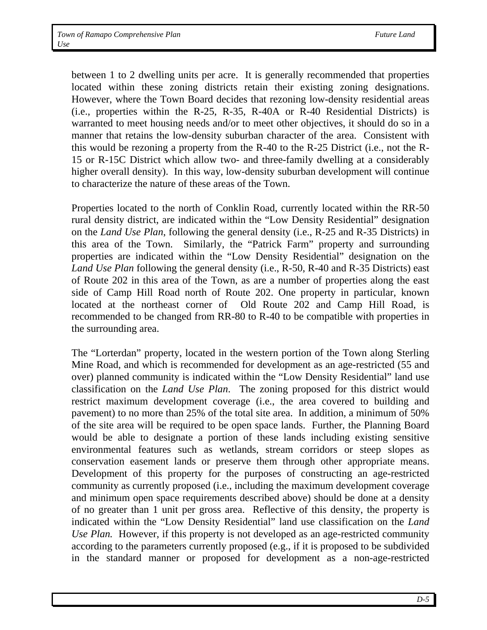between 1 to 2 dwelling units per acre. It is generally recommended that properties located within these zoning districts retain their existing zoning designations. However, where the Town Board decides that rezoning low-density residential areas (i.e., properties within the R-25, R-35, R-40A or R-40 Residential Districts) is warranted to meet housing needs and/or to meet other objectives, it should do so in a manner that retains the low-density suburban character of the area. Consistent with this would be rezoning a property from the R-40 to the R-25 District (i.e., not the R-15 or R-15C District which allow two- and three-family dwelling at a considerably higher overall density). In this way, low-density suburban development will continue to characterize the nature of these areas of the Town.

Properties located to the north of Conklin Road, currently located within the RR-50 rural density district, are indicated within the "Low Density Residential" designation on the *Land Use Plan*, following the general density (i.e., R-25 and R-35 Districts) in this area of the Town. Similarly, the "Patrick Farm" property and surrounding properties are indicated within the "Low Density Residential" designation on the *Land Use Plan* following the general density (i.e., R-50, R-40 and R-35 Districts) east of Route 202 in this area of the Town, as are a number of properties along the east side of Camp Hill Road north of Route 202. One property in particular, known located at the northeast corner of Old Route 202 and Camp Hill Road, is recommended to be changed from RR-80 to R-40 to be compatible with properties in the surrounding area.

The "Lorterdan" property, located in the western portion of the Town along Sterling Mine Road, and which is recommended for development as an age-restricted (55 and over) planned community is indicated within the "Low Density Residential" land use classification on the *Land Use Plan*. The zoning proposed for this district would restrict maximum development coverage (i.e., the area covered to building and pavement) to no more than 25% of the total site area. In addition, a minimum of 50% of the site area will be required to be open space lands. Further, the Planning Board would be able to designate a portion of these lands including existing sensitive environmental features such as wetlands, stream corridors or steep slopes as conservation easement lands or preserve them through other appropriate means. Development of this property for the purposes of constructing an age-restricted community as currently proposed (i.e., including the maximum development coverage and minimum open space requirements described above) should be done at a density of no greater than 1 unit per gross area. Reflective of this density, the property is indicated within the "Low Density Residential" land use classification on the *Land Use Plan.* However, if this property is not developed as an age-restricted community according to the parameters currently proposed (e.g., if it is proposed to be subdivided in the standard manner or proposed for development as a non-age-restricted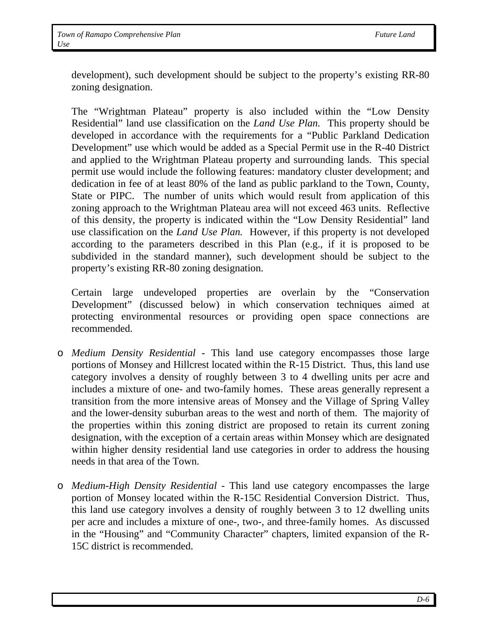development), such development should be subject to the property's existing RR-80 zoning designation.

The "Wrightman Plateau" property is also included within the "Low Density Residential" land use classification on the *Land Use Plan.* This property should be developed in accordance with the requirements for a "Public Parkland Dedication Development" use which would be added as a Special Permit use in the R-40 District and applied to the Wrightman Plateau property and surrounding lands. This special permit use would include the following features: mandatory cluster development; and dedication in fee of at least 80% of the land as public parkland to the Town, County, State or PIPC. The number of units which would result from application of this zoning approach to the Wrightman Plateau area will not exceed 463 units. Reflective of this density, the property is indicated within the "Low Density Residential" land use classification on the *Land Use Plan.* However, if this property is not developed according to the parameters described in this Plan (e.g., if it is proposed to be subdivided in the standard manner), such development should be subject to the property's existing RR-80 zoning designation.

Certain large undeveloped properties are overlain by the "Conservation Development" (discussed below) in which conservation techniques aimed at protecting environmental resources or providing open space connections are recommended.

- o *Medium Density Residential* This land use category encompasses those large portions of Monsey and Hillcrest located within the R-15 District. Thus, this land use category involves a density of roughly between 3 to 4 dwelling units per acre and includes a mixture of one- and two-family homes. These areas generally represent a transition from the more intensive areas of Monsey and the Village of Spring Valley and the lower-density suburban areas to the west and north of them. The majority of the properties within this zoning district are proposed to retain its current zoning designation, with the exception of a certain areas within Monsey which are designated within higher density residential land use categories in order to address the housing needs in that area of the Town.
- o *Medium-High Density Residential* This land use category encompasses the large portion of Monsey located within the R-15C Residential Conversion District. Thus, this land use category involves a density of roughly between 3 to 12 dwelling units per acre and includes a mixture of one-, two-, and three-family homes. As discussed in the "Housing" and "Community Character" chapters, limited expansion of the R-15C district is recommended.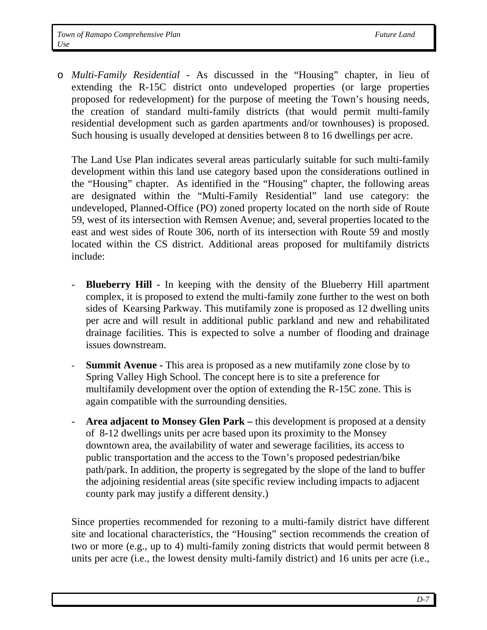o *Multi-Family Residential -* As discussed in the "Housing" chapter, in lieu of extending the R-15C district onto undeveloped properties (or large properties proposed for redevelopment) for the purpose of meeting the Town's housing needs, the creation of standard multi-family districts (that would permit multi-family residential development such as garden apartments and/or townhouses) is proposed. Such housing is usually developed at densities between 8 to 16 dwellings per acre.

The Land Use Plan indicates several areas particularly suitable for such multi-family development within this land use category based upon the considerations outlined in the "Housing" chapter. As identified in the "Housing" chapter, the following areas are designated within the "Multi-Family Residential" land use category: the undeveloped, Planned-Office (PO) zoned property located on the north side of Route 59, west of its intersection with Remsen Avenue; and, several properties located to the east and west sides of Route 306, north of its intersection with Route 59 and mostly located within the CS district. Additional areas proposed for multifamily districts include:

- **Blueberry Hill -** In keeping with the density of the Blueberry Hill apartment complex, it is proposed to extend the multi-family zone further to the west on both sides of Kearsing Parkway. This mutifamily zone is proposed as 12 dwelling units per acre and will result in additional public parkland and new and rehabilitated drainage facilities. This is expected to solve a number of flooding and drainage issues downstream.
- **Summit Avenue This area is proposed as a new mutifamily zone close by to** Spring Valley High School. The concept here is to site a preference for multifamily development over the option of extending the R-15C zone. This is again compatible with the surrounding densities.
- **Area adjacent to Monsey Glen Park –** this development is proposed at a density of 8-12 dwellings units per acre based upon its proximity to the Monsey downtown area, the availability of water and sewerage facilities, its access to public transportation and the access to the Town's proposed pedestrian/bike path/park. In addition, the property is segregated by the slope of the land to buffer the adjoining residential areas (site specific review including impacts to adjacent county park may justify a different density.)

Since properties recommended for rezoning to a multi-family district have different site and locational characteristics, the "Housing" section recommends the creation of two or more (e.g., up to 4) multi-family zoning districts that would permit between 8 units per acre (i.e., the lowest density multi-family district) and 16 units per acre (i.e.,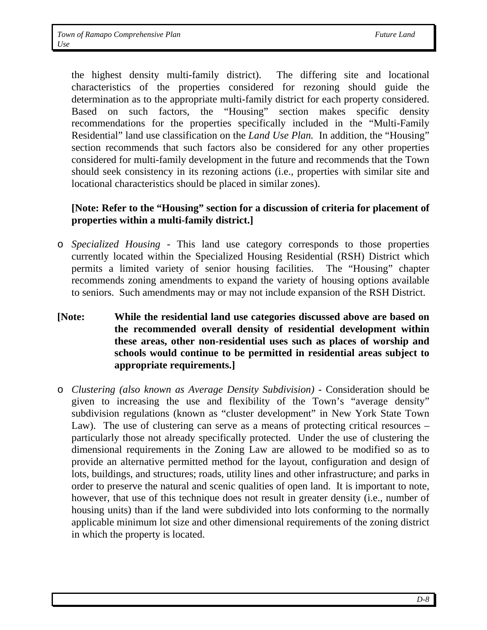the highest density multi-family district). The differing site and locational characteristics of the properties considered for rezoning should guide the determination as to the appropriate multi-family district for each property considered. Based on such factors, the "Housing" section makes specific density recommendations for the properties specifically included in the "Multi-Family Residential" land use classification on the *Land Use Plan.* In addition, the "Housing" section recommends that such factors also be considered for any other properties considered for multi-family development in the future and recommends that the Town should seek consistency in its rezoning actions (i.e., properties with similar site and locational characteristics should be placed in similar zones).

### **[Note: Refer to the "Housing" section for a discussion of criteria for placement of properties within a multi-family district.]**

- o *Specialized Housing* This land use category corresponds to those properties currently located within the Specialized Housing Residential (RSH) District which permits a limited variety of senior housing facilities. The "Housing" chapter recommends zoning amendments to expand the variety of housing options available to seniors. Such amendments may or may not include expansion of the RSH District.
- **[Note: While the residential land use categories discussed above are based on the recommended overall density of residential development within these areas, other non-residential uses such as places of worship and schools would continue to be permitted in residential areas subject to appropriate requirements.]**
- o *Clustering (also known as Average Density Subdivision)*  Consideration should be given to increasing the use and flexibility of the Town's "average density" subdivision regulations (known as "cluster development" in New York State Town Law). The use of clustering can serve as a means of protecting critical resources – particularly those not already specifically protected. Under the use of clustering the dimensional requirements in the Zoning Law are allowed to be modified so as to provide an alternative permitted method for the layout, configuration and design of lots, buildings, and structures; roads, utility lines and other infrastructure; and parks in order to preserve the natural and scenic qualities of open land. It is important to note, however, that use of this technique does not result in greater density (i.e., number of housing units) than if the land were subdivided into lots conforming to the normally applicable minimum lot size and other dimensional requirements of the zoning district in which the property is located.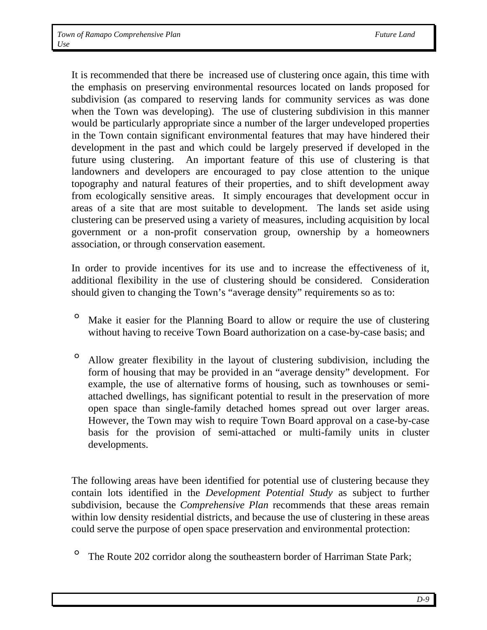It is recommended that there be increased use of clustering once again, this time with the emphasis on preserving environmental resources located on lands proposed for subdivision (as compared to reserving lands for community services as was done when the Town was developing). The use of clustering subdivision in this manner would be particularly appropriate since a number of the larger undeveloped properties in the Town contain significant environmental features that may have hindered their development in the past and which could be largely preserved if developed in the future using clustering. An important feature of this use of clustering is that landowners and developers are encouraged to pay close attention to the unique topography and natural features of their properties, and to shift development away from ecologically sensitive areas. It simply encourages that development occur in areas of a site that are most suitable to development. The lands set aside using clustering can be preserved using a variety of measures, including acquisition by local government or a non-profit conservation group, ownership by a homeowners association, or through conservation easement.

In order to provide incentives for its use and to increase the effectiveness of it, additional flexibility in the use of clustering should be considered. Consideration should given to changing the Town's "average density" requirements so as to:

- ° Make it easier for the Planning Board to allow or require the use of clustering without having to receive Town Board authorization on a case-by-case basis; and
- ° Allow greater flexibility in the layout of clustering subdivision, including the form of housing that may be provided in an "average density" development. For example, the use of alternative forms of housing, such as townhouses or semiattached dwellings, has significant potential to result in the preservation of more open space than single-family detached homes spread out over larger areas. However, the Town may wish to require Town Board approval on a case-by-case basis for the provision of semi-attached or multi-family units in cluster developments.

The following areas have been identified for potential use of clustering because they contain lots identified in the *Development Potential Study* as subject to further subdivision, because the *Comprehensive Plan* recommends that these areas remain within low density residential districts, and because the use of clustering in these areas could serve the purpose of open space preservation and environmental protection:

<sup>o</sup> The Route 202 corridor along the southeastern border of Harriman State Park;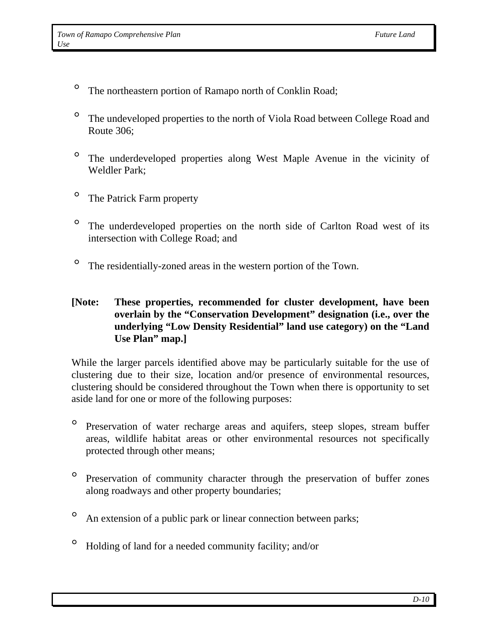- <sup>o</sup> The northeastern portion of Ramapo north of Conklin Road;
- ° The undeveloped properties to the north of Viola Road between College Road and Route 306;
- ° The underdeveloped properties along West Maple Avenue in the vicinity of Weldler Park;
- ° The Patrick Farm property
- ° The underdeveloped properties on the north side of Carlton Road west of its intersection with College Road; and
- ° The residentially-zoned areas in the western portion of the Town.

### **[Note: These properties, recommended for cluster development, have been overlain by the "Conservation Development" designation (i.e., over the underlying "Low Density Residential" land use category) on the "Land Use Plan" map.]**

While the larger parcels identified above may be particularly suitable for the use of clustering due to their size, location and/or presence of environmental resources, clustering should be considered throughout the Town when there is opportunity to set aside land for one or more of the following purposes:

- ° Preservation of water recharge areas and aquifers, steep slopes, stream buffer areas, wildlife habitat areas or other environmental resources not specifically protected through other means;
- ° Preservation of community character through the preservation of buffer zones along roadways and other property boundaries;
- <sup>o</sup> An extension of a public park or linear connection between parks;
- ° Holding of land for a needed community facility; and/or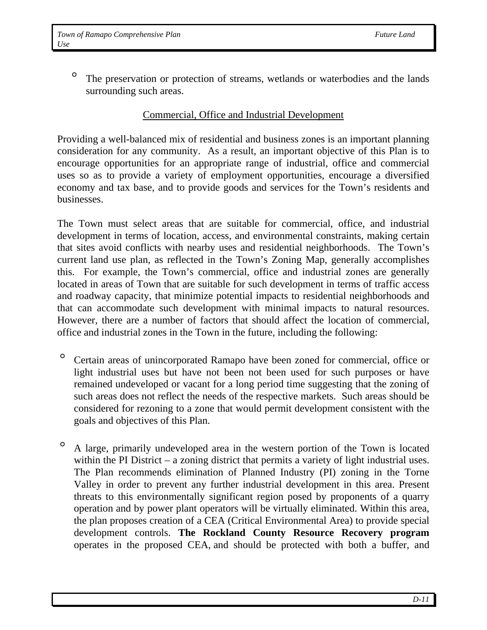° The preservation or protection of streams, wetlands or waterbodies and the lands surrounding such areas.

#### Commercial, Office and Industrial Development

Providing a well-balanced mix of residential and business zones is an important planning consideration for any community. As a result, an important objective of this Plan is to encourage opportunities for an appropriate range of industrial, office and commercial uses so as to provide a variety of employment opportunities, encourage a diversified economy and tax base, and to provide goods and services for the Town's residents and businesses.

The Town must select areas that are suitable for commercial, office, and industrial development in terms of location, access, and environmental constraints, making certain that sites avoid conflicts with nearby uses and residential neighborhoods. The Town's current land use plan, as reflected in the Town's Zoning Map, generally accomplishes this. For example, the Town's commercial, office and industrial zones are generally located in areas of Town that are suitable for such development in terms of traffic access and roadway capacity, that minimize potential impacts to residential neighborhoods and that can accommodate such development with minimal impacts to natural resources. However, there are a number of factors that should affect the location of commercial, office and industrial zones in the Town in the future, including the following:

- ° Certain areas of unincorporated Ramapo have been zoned for commercial, office or light industrial uses but have not been not been used for such purposes or have remained undeveloped or vacant for a long period time suggesting that the zoning of such areas does not reflect the needs of the respective markets. Such areas should be considered for rezoning to a zone that would permit development consistent with the goals and objectives of this Plan.
- ° A large, primarily undeveloped area in the western portion of the Town is located within the PI District – a zoning district that permits a variety of light industrial uses. The Plan recommends elimination of Planned Industry (PI) zoning in the Torne Valley in order to prevent any further industrial development in this area. Present threats to this environmentally significant region posed by proponents of a quarry operation and by power plant operators will be virtually eliminated. Within this area, the plan proposes creation of a CEA (Critical Environmental Area) to provide special development controls. **The Rockland County Resource Recovery program** operates in the proposed CEA, and should be protected with both a buffer, and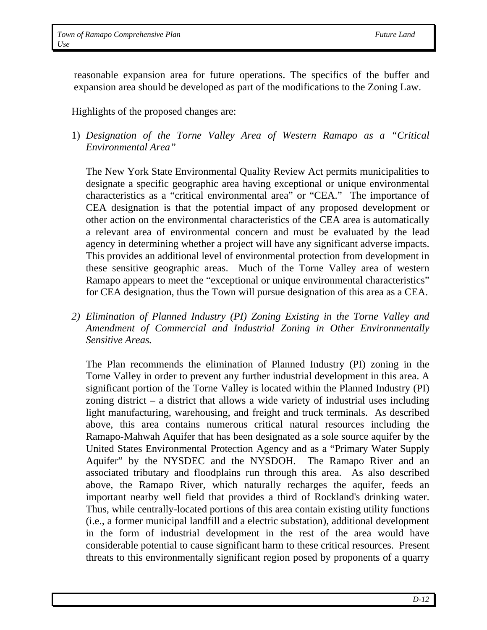reasonable expansion area for future operations. The specifics of the buffer and expansion area should be developed as part of the modifications to the Zoning Law.

Highlights of the proposed changes are:

1) *Designation of the Torne Valley Area of Western Ramapo as a "Critical Environmental Area"*

The New York State Environmental Quality Review Act permits municipalities to designate a specific geographic area having exceptional or unique environmental characteristics as a "critical environmental area" or "CEA." The importance of CEA designation is that the potential impact of any proposed development or other action on the environmental characteristics of the CEA area is automatically a relevant area of environmental concern and must be evaluated by the lead agency in determining whether a project will have any significant adverse impacts. This provides an additional level of environmental protection from development in these sensitive geographic areas. Much of the Torne Valley area of western Ramapo appears to meet the "exceptional or unique environmental characteristics" for CEA designation, thus the Town will pursue designation of this area as a CEA.

*2) Elimination of Planned Industry (PI) Zoning Existing in the Torne Valley and Amendment of Commercial and Industrial Zoning in Other Environmentally Sensitive Areas.* 

The Plan recommends the elimination of Planned Industry (PI) zoning in the Torne Valley in order to prevent any further industrial development in this area. A significant portion of the Torne Valley is located within the Planned Industry (PI) zoning district – a district that allows a wide variety of industrial uses including light manufacturing, warehousing, and freight and truck terminals. As described above, this area contains numerous critical natural resources including the Ramapo-Mahwah Aquifer that has been designated as a sole source aquifer by the United States Environmental Protection Agency and as a "Primary Water Supply Aquifer" by the NYSDEC and the NYSDOH. The Ramapo River and an associated tributary and floodplains run through this area. As also described above, the Ramapo River, which naturally recharges the aquifer, feeds an important nearby well field that provides a third of Rockland's drinking water. Thus, while centrally-located portions of this area contain existing utility functions (i.e., a former municipal landfill and a electric substation), additional development in the form of industrial development in the rest of the area would have considerable potential to cause significant harm to these critical resources. Present threats to this environmentally significant region posed by proponents of a quarry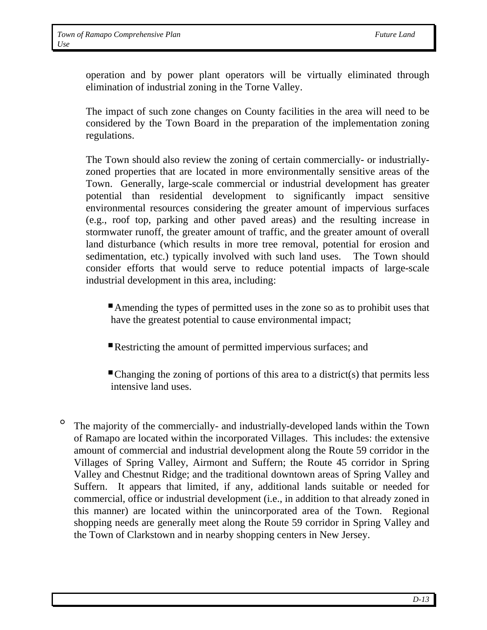operation and by power plant operators will be virtually eliminated through elimination of industrial zoning in the Torne Valley.

The impact of such zone changes on County facilities in the area will need to be considered by the Town Board in the preparation of the implementation zoning regulations.

The Town should also review the zoning of certain commercially- or industriallyzoned properties that are located in more environmentally sensitive areas of the Town. Generally, large-scale commercial or industrial development has greater potential than residential development to significantly impact sensitive environmental resources considering the greater amount of impervious surfaces (e.g., roof top, parking and other paved areas) and the resulting increase in stormwater runoff, the greater amount of traffic, and the greater amount of overall land disturbance (which results in more tree removal, potential for erosion and sedimentation, etc.) typically involved with such land uses. The Town should consider efforts that would serve to reduce potential impacts of large-scale industrial development in this area, including:

Amending the types of permitted uses in the zone so as to prohibit uses that have the greatest potential to cause environmental impact;

Restricting the amount of permitted impervious surfaces; and

 $\blacksquare$  Changing the zoning of portions of this area to a district(s) that permits less intensive land uses.

° The majority of the commercially- and industrially-developed lands within the Town of Ramapo are located within the incorporated Villages. This includes: the extensive amount of commercial and industrial development along the Route 59 corridor in the Villages of Spring Valley, Airmont and Suffern; the Route 45 corridor in Spring Valley and Chestnut Ridge; and the traditional downtown areas of Spring Valley and Suffern. It appears that limited, if any, additional lands suitable or needed for commercial, office or industrial development (i.e., in addition to that already zoned in this manner) are located within the unincorporated area of the Town. Regional shopping needs are generally meet along the Route 59 corridor in Spring Valley and the Town of Clarkstown and in nearby shopping centers in New Jersey.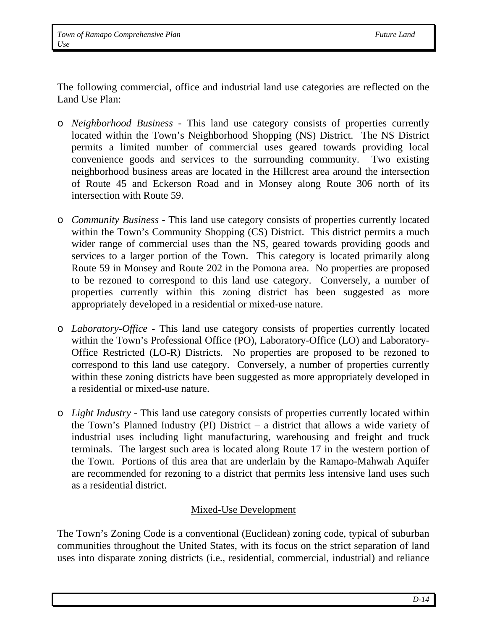The following commercial, office and industrial land use categories are reflected on the Land Use Plan:

- o *Neighborhood Business* This land use category consists of properties currently located within the Town's Neighborhood Shopping (NS) District. The NS District permits a limited number of commercial uses geared towards providing local convenience goods and services to the surrounding community. Two existing neighborhood business areas are located in the Hillcrest area around the intersection of Route 45 and Eckerson Road and in Monsey along Route 306 north of its intersection with Route 59.
- o *Community Business* This land use category consists of properties currently located within the Town's Community Shopping (CS) District. This district permits a much wider range of commercial uses than the NS, geared towards providing goods and services to a larger portion of the Town. This category is located primarily along Route 59 in Monsey and Route 202 in the Pomona area. No properties are proposed to be rezoned to correspond to this land use category. Conversely, a number of properties currently within this zoning district has been suggested as more appropriately developed in a residential or mixed-use nature.
- o *Laboratory-Office* This land use category consists of properties currently located within the Town's Professional Office (PO), Laboratory-Office (LO) and Laboratory-Office Restricted (LO-R) Districts. No properties are proposed to be rezoned to correspond to this land use category. Conversely, a number of properties currently within these zoning districts have been suggested as more appropriately developed in a residential or mixed-use nature.
- o *Light Industry* This land use category consists of properties currently located within the Town's Planned Industry (PI) District – a district that allows a wide variety of industrial uses including light manufacturing, warehousing and freight and truck terminals. The largest such area is located along Route 17 in the western portion of the Town. Portions of this area that are underlain by the Ramapo-Mahwah Aquifer are recommended for rezoning to a district that permits less intensive land uses such as a residential district.

### Mixed-Use Development

The Town's Zoning Code is a conventional (Euclidean) zoning code, typical of suburban communities throughout the United States, with its focus on the strict separation of land uses into disparate zoning districts (i.e., residential, commercial, industrial) and reliance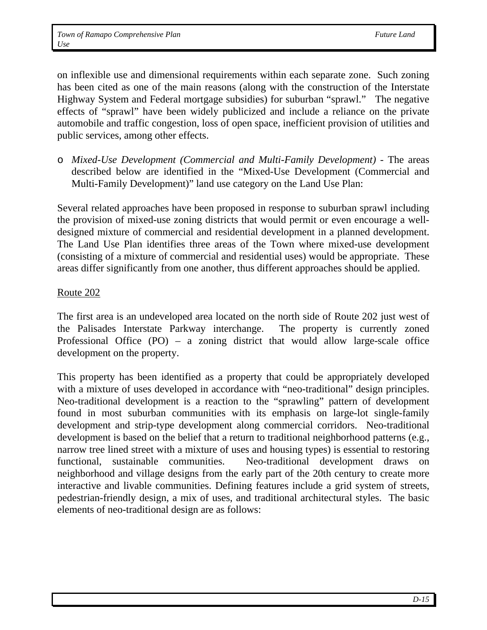on inflexible use and dimensional requirements within each separate zone. Such zoning has been cited as one of the main reasons (along with the construction of the Interstate Highway System and Federal mortgage subsidies) for suburban "sprawl." The negative effects of "sprawl" have been widely publicized and include a reliance on the private automobile and traffic congestion, loss of open space, inefficient provision of utilities and public services, among other effects.

o *Mixed-Use Development (Commercial and Multi-Family Development) -* The areas described below are identified in the "Mixed-Use Development (Commercial and Multi-Family Development)" land use category on the Land Use Plan:

Several related approaches have been proposed in response to suburban sprawl including the provision of mixed-use zoning districts that would permit or even encourage a welldesigned mixture of commercial and residential development in a planned development. The Land Use Plan identifies three areas of the Town where mixed-use development (consisting of a mixture of commercial and residential uses) would be appropriate. These areas differ significantly from one another, thus different approaches should be applied.

#### Route 202

The first area is an undeveloped area located on the north side of Route 202 just west of the Palisades Interstate Parkway interchange. The property is currently zoned Professional Office (PO) – a zoning district that would allow large-scale office development on the property.

This property has been identified as a property that could be appropriately developed with a mixture of uses developed in accordance with "neo-traditional" design principles. Neo-traditional development is a reaction to the "sprawling" pattern of development found in most suburban communities with its emphasis on large-lot single-family development and strip-type development along commercial corridors. Neo-traditional development is based on the belief that a return to traditional neighborhood patterns (e.g., narrow tree lined street with a mixture of uses and housing types) is essential to restoring functional, sustainable communities. Neo-traditional development draws on neighborhood and village designs from the early part of the 20th century to create more interactive and livable communities. Defining features include a grid system of streets, pedestrian-friendly design, a mix of uses, and traditional architectural styles. The basic elements of neo-traditional design are as follows: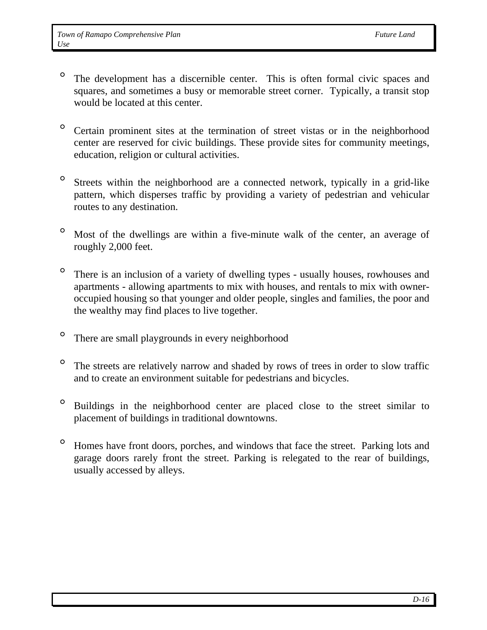- ° The development has a discernible center. This is often formal civic spaces and squares, and sometimes a busy or memorable street corner. Typically, a transit stop would be located at this center.
- ° Certain prominent sites at the termination of street vistas or in the neighborhood center are reserved for civic buildings. These provide sites for community meetings, education, religion or cultural activities.
- ° Streets within the neighborhood are a connected network, typically in a grid-like pattern, which disperses traffic by providing a variety of pedestrian and vehicular routes to any destination.
- ° Most of the dwellings are within a five-minute walk of the center, an average of roughly 2,000 feet.
- ° There is an inclusion of a variety of dwelling types usually houses, rowhouses and apartments - allowing apartments to mix with houses, and rentals to mix with owneroccupied housing so that younger and older people, singles and families, the poor and the wealthy may find places to live together.
- ° There are small playgrounds in every neighborhood
- ° The streets are relatively narrow and shaded by rows of trees in order to slow traffic and to create an environment suitable for pedestrians and bicycles.
- ° Buildings in the neighborhood center are placed close to the street similar to placement of buildings in traditional downtowns.
- ° Homes have front doors, porches, and windows that face the street. Parking lots and garage doors rarely front the street. Parking is relegated to the rear of buildings, usually accessed by alleys.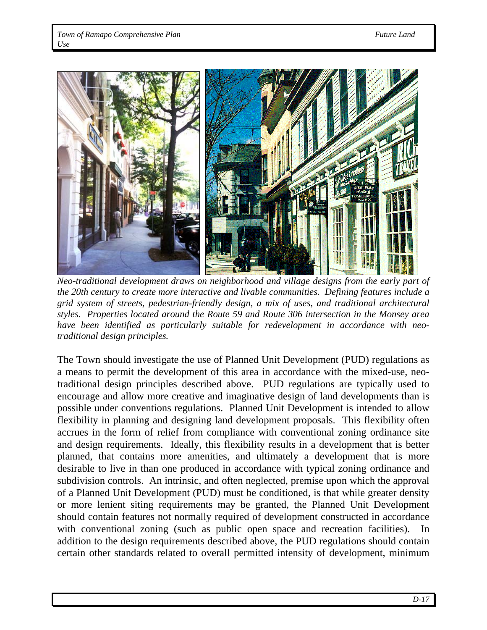

 *Neo-traditional development draws on neighborhood and village designs from the early part of the 20th century to create more interactive and livable communities. Defining features include a grid system of streets, pedestrian-friendly design, a mix of uses, and traditional architectural styles. Properties located around the Route 59 and Route 306 intersection in the Monsey area have been identified as particularly suitable for redevelopment in accordance with neotraditional design principles.* 

The Town should investigate the use of Planned Unit Development (PUD) regulations as a means to permit the development of this area in accordance with the mixed-use, neotraditional design principles described above. PUD regulations are typically used to encourage and allow more creative and imaginative design of land developments than is possible under conventions regulations. Planned Unit Development is intended to allow flexibility in planning and designing land development proposals. This flexibility often accrues in the form of relief from compliance with conventional zoning ordinance site and design requirements. Ideally, this flexibility results in a development that is better planned, that contains more amenities, and ultimately a development that is more desirable to live in than one produced in accordance with typical zoning ordinance and subdivision controls. An intrinsic, and often neglected, premise upon which the approval of a Planned Unit Development (PUD) must be conditioned, is that while greater density or more lenient siting requirements may be granted, the Planned Unit Development should contain features not normally required of development constructed in accordance with conventional zoning (such as public open space and recreation facilities). In addition to the design requirements described above, the PUD regulations should contain certain other standards related to overall permitted intensity of development, minimum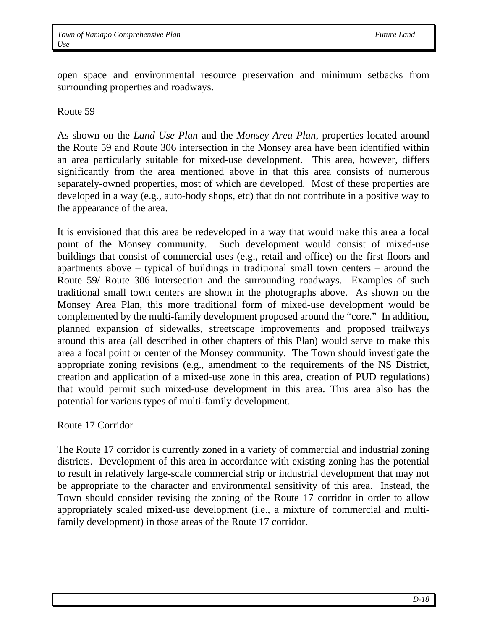open space and environmental resource preservation and minimum setbacks from surrounding properties and roadways.

#### Route 59

As shown on the *Land Use Plan* and the *Monsey Area Plan*, properties located around the Route 59 and Route 306 intersection in the Monsey area have been identified within an area particularly suitable for mixed-use development. This area, however, differs significantly from the area mentioned above in that this area consists of numerous separately-owned properties, most of which are developed. Most of these properties are developed in a way (e.g., auto-body shops, etc) that do not contribute in a positive way to the appearance of the area.

It is envisioned that this area be redeveloped in a way that would make this area a focal point of the Monsey community. Such development would consist of mixed-use buildings that consist of commercial uses (e.g., retail and office) on the first floors and apartments above – typical of buildings in traditional small town centers – around the Route 59/ Route 306 intersection and the surrounding roadways. Examples of such traditional small town centers are shown in the photographs above. As shown on the Monsey Area Plan, this more traditional form of mixed-use development would be complemented by the multi-family development proposed around the "core." In addition, planned expansion of sidewalks, streetscape improvements and proposed trailways around this area (all described in other chapters of this Plan) would serve to make this area a focal point or center of the Monsey community. The Town should investigate the appropriate zoning revisions (e.g., amendment to the requirements of the NS District, creation and application of a mixed-use zone in this area, creation of PUD regulations) that would permit such mixed-use development in this area. This area also has the potential for various types of multi-family development.

#### Route 17 Corridor

The Route 17 corridor is currently zoned in a variety of commercial and industrial zoning districts. Development of this area in accordance with existing zoning has the potential to result in relatively large-scale commercial strip or industrial development that may not be appropriate to the character and environmental sensitivity of this area. Instead, the Town should consider revising the zoning of the Route 17 corridor in order to allow appropriately scaled mixed-use development (i.e., a mixture of commercial and multifamily development) in those areas of the Route 17 corridor.